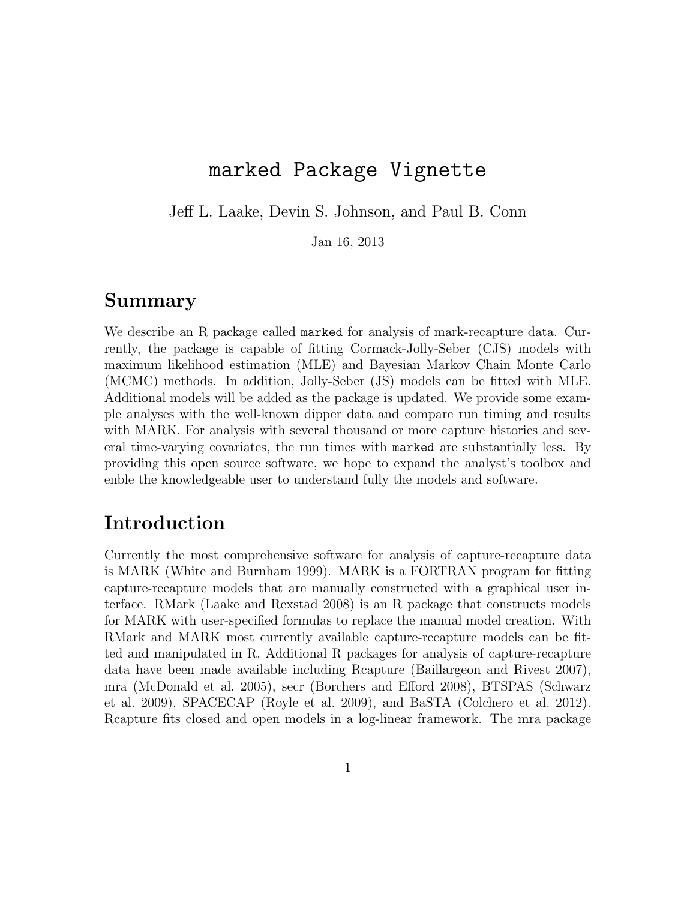# marked Package Vignette

Jeff L. Laake, Devin S. Johnson, and Paul B. Conn

Jan 16, 2013

#### Summary

We describe an R package called marked for analysis of mark-recapture data. Currently, the package is capable of fitting Cormack-Jolly-Seber (CJS) models with maximum likelihood estimation (MLE) and Bayesian Markov Chain Monte Carlo (MCMC) methods. In addition, Jolly-Seber (JS) models can be fitted with MLE. Additional models will be added as the package is updated. We provide some example analyses with the well-known dipper data and compare run timing and results with MARK. For analysis with several thousand or more capture histories and several time-varying covariates, the run times with marked are substantially less. By providing this open source software, we hope to expand the analyst's toolbox and enble the knowledgeable user to understand fully the models and software.

## Introduction

Currently the most comprehensive software for analysis of capture-recapture data is MARK (White and Burnham 1999). MARK is a FORTRAN program for fitting capture-recapture models that are manually constructed with a graphical user interface. RMark (Laake and Rexstad 2008) is an R package that constructs models for MARK with user-specified formulas to replace the manual model creation. With RMark and MARK most currently available capture-recapture models can be fitted and manipulated in R. Additional R packages for analysis of capture-recapture data have been made available including Rcapture (Baillargeon and Rivest 2007), mra (McDonald et al. 2005), secr (Borchers and Efford 2008), BTSPAS (Schwarz et al. 2009), SPACECAP (Royle et al. 2009), and BaSTA (Colchero et al. 2012). Rcapture fits closed and open models in a log-linear framework. The mra package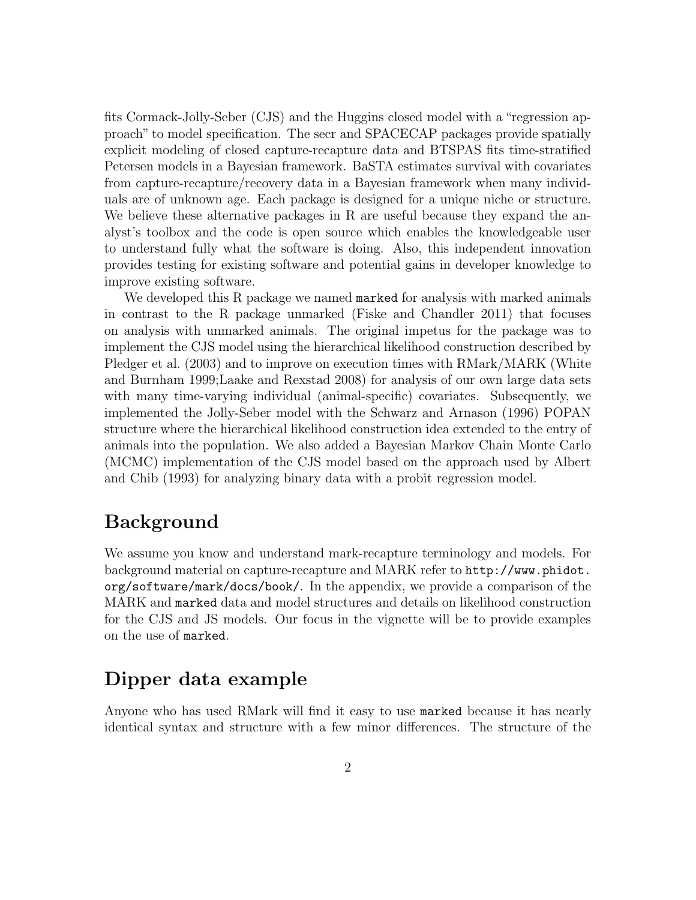fits Cormack-Jolly-Seber (CJS) and the Huggins closed model with a "regression approach" to model specification. The secr and SPACECAP packages provide spatially explicit modeling of closed capture-recapture data and BTSPAS fits time-stratified Petersen models in a Bayesian framework. BaSTA estimates survival with covariates from capture-recapture/recovery data in a Bayesian framework when many individuals are of unknown age. Each package is designed for a unique niche or structure. We believe these alternative packages in R are useful because they expand the analyst's toolbox and the code is open source which enables the knowledgeable user to understand fully what the software is doing. Also, this independent innovation provides testing for existing software and potential gains in developer knowledge to improve existing software.

We developed this R package we named marked for analysis with marked animals in contrast to the R package unmarked (Fiske and Chandler 2011) that focuses on analysis with unmarked animals. The original impetus for the package was to implement the CJS model using the hierarchical likelihood construction described by Pledger et al. (2003) and to improve on execution times with RMark/MARK (White and Burnham 1999;Laake and Rexstad 2008) for analysis of our own large data sets with many time-varying individual (animal-specific) covariates. Subsequently, we implemented the Jolly-Seber model with the Schwarz and Arnason (1996) POPAN structure where the hierarchical likelihood construction idea extended to the entry of animals into the population. We also added a Bayesian Markov Chain Monte Carlo (MCMC) implementation of the CJS model based on the approach used by Albert and Chib (1993) for analyzing binary data with a probit regression model.

## Background

We assume you know and understand mark-recapture terminology and models. For background material on capture-recapture and MARK refer to http://www.phidot. org/software/mark/docs/book/. In the appendix, we provide a comparison of the MARK and marked data and model structures and details on likelihood construction for the CJS and JS models. Our focus in the vignette will be to provide examples on the use of marked.

## Dipper data example

Anyone who has used RMark will find it easy to use marked because it has nearly identical syntax and structure with a few minor differences. The structure of the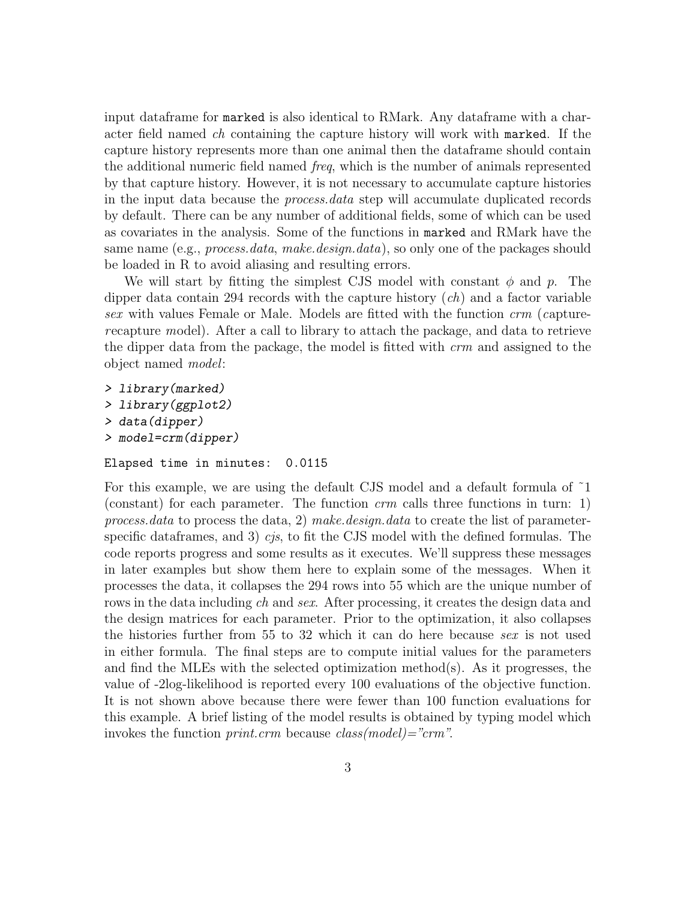input dataframe for marked is also identical to RMark. Any dataframe with a character field named ch containing the capture history will work with marked. If the capture history represents more than one animal then the dataframe should contain the additional numeric field named freq, which is the number of animals represented by that capture history. However, it is not necessary to accumulate capture histories in the input data because the process.data step will accumulate duplicated records by default. There can be any number of additional fields, some of which can be used as covariates in the analysis. Some of the functions in marked and RMark have the same name (e.g., *process.data, make.design.data*), so only one of the packages should be loaded in R to avoid aliasing and resulting errors.

We will start by fitting the simplest CJS model with constant  $\phi$  and p. The dipper data contain 294 records with the capture history  $(ch)$  and a factor variable sex with values Female or Male. Models are fitted with the function crm (capturerecapture model). After a call to library to attach the package, and data to retrieve the dipper data from the package, the model is fitted with crm and assigned to the object named model:

```
> library(marked)
```
- > library(ggplot2)
- > data(dipper)
- > model=crm(dipper)

```
Elapsed time in minutes: 0.0115
```
For this example, we are using the default CJS model and a default formula of ˜1 (constant) for each parameter. The function  $\,$  calls three functions in turn: 1) process.data to process the data, 2) make.design.data to create the list of parameterspecific data frames, and 3) cjs, to fit the CJS model with the defined formulas. The code reports progress and some results as it executes. We'll suppress these messages in later examples but show them here to explain some of the messages. When it processes the data, it collapses the 294 rows into 55 which are the unique number of rows in the data including ch and sex. After processing, it creates the design data and the design matrices for each parameter. Prior to the optimization, it also collapses the histories further from 55 to 32 which it can do here because sex is not used in either formula. The final steps are to compute initial values for the parameters and find the MLEs with the selected optimization method(s). As it progresses, the value of -2log-likelihood is reported every 100 evaluations of the objective function. It is not shown above because there were fewer than 100 function evaluations for this example. A brief listing of the model results is obtained by typing model which invokes the function *print.crm* because  $class(model) = "crm".$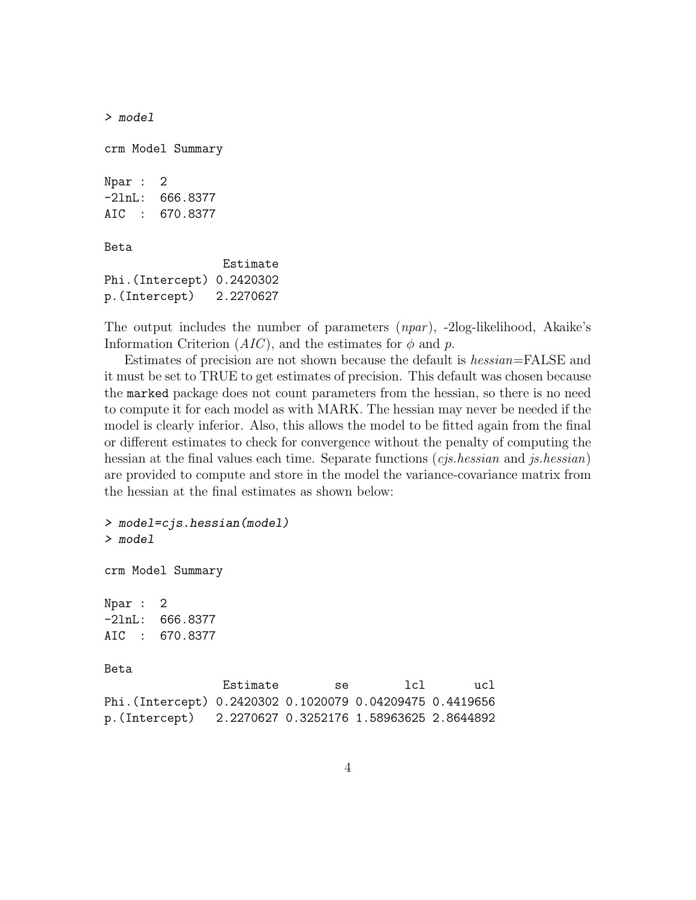```
> model
crm Model Summary
Npar : 2
-2lnL: 666.8377
AIC : 670.8377
Beta
                 Estimate
Phi.(Intercept) 0.2420302
p.(Intercept) 2.2270627
```
The output includes the number of parameters  $(npar)$ , -2log-likelihood, Akaike's Information Criterion  $(AIC)$ , and the estimates for  $\phi$  and p.

Estimates of precision are not shown because the default is hessian=FALSE and it must be set to TRUE to get estimates of precision. This default was chosen because the marked package does not count parameters from the hessian, so there is no need to compute it for each model as with MARK. The hessian may never be needed if the model is clearly inferior. Also, this allows the model to be fitted again from the final or different estimates to check for convergence without the penalty of computing the hessian at the final values each time. Separate functions (*cjs.hessian* and *js.hessian*) are provided to compute and store in the model the variance-covariance matrix from the hessian at the final estimates as shown below:

```
> model=cjs.hessian(model)
> model
crm Model Summary
Npar : 2
-2lnL: 666.8377
AIC : 670.8377
Beta
               Estimate se lcl ucl
Phi.(Intercept) 0.2420302 0.1020079 0.04209475 0.4419656
p.(Intercept) 2.2270627 0.3252176 1.58963625 2.8644892
```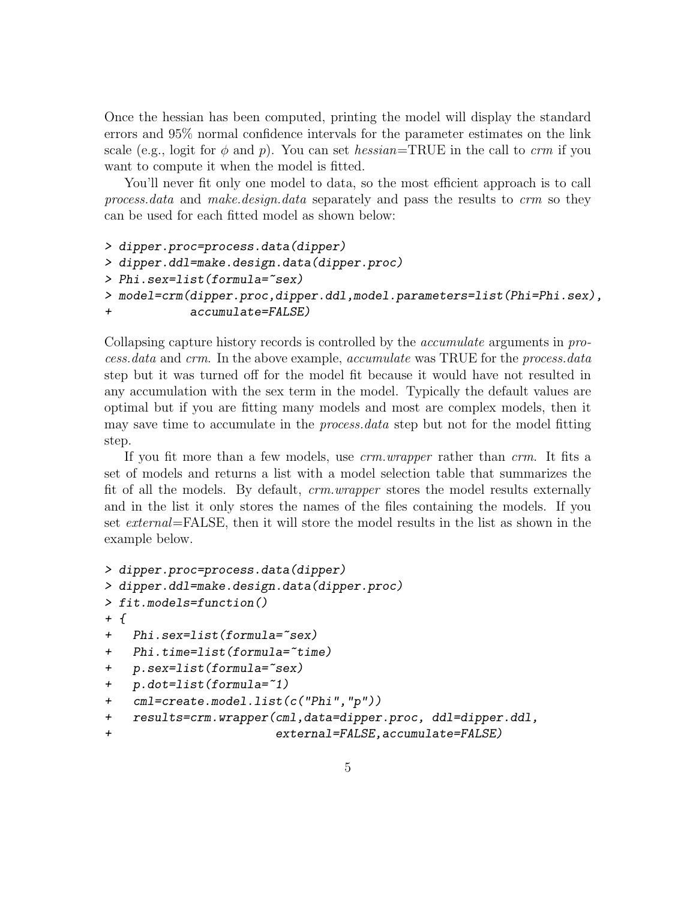Once the hessian has been computed, printing the model will display the standard errors and 95% normal confidence intervals for the parameter estimates on the link scale (e.g., logit for  $\phi$  and p). You can set hessian=TRUE in the call to crm if you want to compute it when the model is fitted.

You'll never fit only one model to data, so the most efficient approach is to call process.data and make.design.data separately and pass the results to crm so they can be used for each fitted model as shown below:

```
> dipper.proc=process.data(dipper)
> dipper.ddl=make.design.data(dipper.proc)
> Phi.sex=list(formula="sex)
> model=crm(dipper.proc,dipper.ddl,model.parameters=list(Phi=Phi.sex),
+ accumulate=FALSE)
```
Collapsing capture history records is controlled by the accumulate arguments in process.data and crm. In the above example, accumulate was TRUE for the process.data step but it was turned off for the model fit because it would have not resulted in any accumulation with the sex term in the model. Typically the default values are optimal but if you are fitting many models and most are complex models, then it may save time to accumulate in the *process.data* step but not for the model fitting step.

If you fit more than a few models, use crm.wrapper rather than crm. It fits a set of models and returns a list with a model selection table that summarizes the fit of all the models. By default, crm.wrapper stores the model results externally and in the list it only stores the names of the files containing the models. If you set external=FALSE, then it will store the model results in the list as shown in the example below.

```
> dipper.proc=process.data(dipper)
> dipper.ddl=make.design.data(dipper.proc)
> fit.models=function()
+ {
+ Phi.sex=list(formula="sex)
+ Phi.time=list(formula="time)
+ p.sex=list(formula="sex)
+ p.dot=list(formula=~1)
+ cml=create.model.list(c("Phi","p"))
+ results=crm.wrapper(cml,data=dipper.proc, ddl=dipper.ddl,
+ external=FALSE,accumulate=FALSE)
```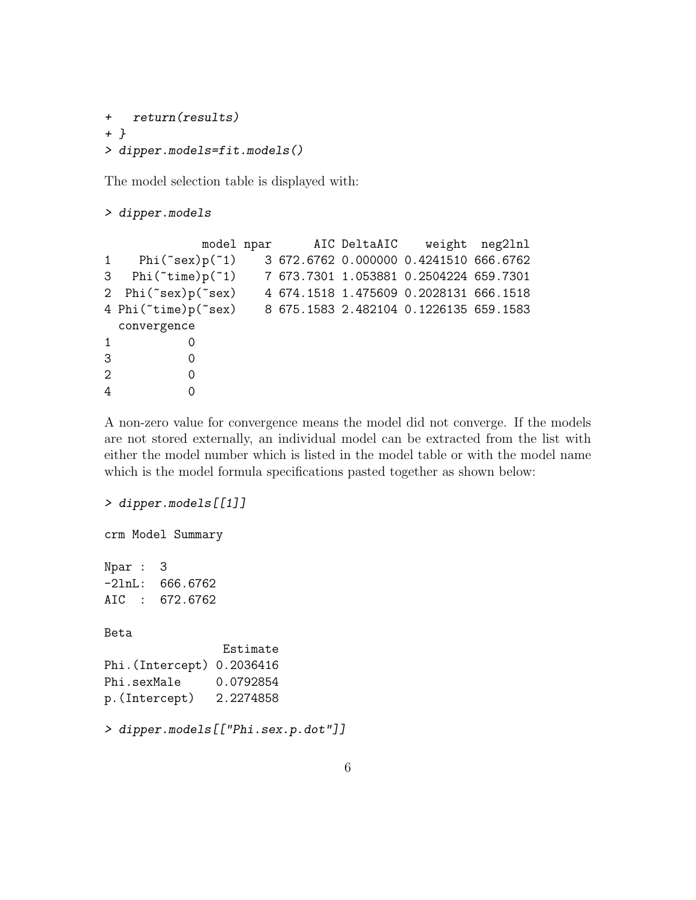```
+ return(results)
+ }
> dipper.models=fit.models()
```
The model selection table is displayed with:

> dipper.models

|                |                                                            |  | model npar AIC DeltaAIC weight neg2lnl |  |
|----------------|------------------------------------------------------------|--|----------------------------------------|--|
|                | 1 $Phi("sex)p("1)$                                         |  | 3 672.6762 0.000000 0.4241510 666.6762 |  |
|                | 3 Phi("time)p("1) 7 673.7301 1.053881 0.2504224 659.7301   |  |                                        |  |
|                | 2 Phi(~sex)p(~sex)                                         |  | 4 674.1518 1.475609 0.2028131 666.1518 |  |
|                | 4 Phi("time)p("sex) 8 675.1583 2.482104 0.1226135 659.1583 |  |                                        |  |
|                | convergence                                                |  |                                        |  |
| $\mathbf{1}$   | 0                                                          |  |                                        |  |
| 3              | 0                                                          |  |                                        |  |
| $\overline{2}$ | 0                                                          |  |                                        |  |
| 4              | $\Omega$                                                   |  |                                        |  |

A non-zero value for convergence means the model did not converge. If the models are not stored externally, an individual model can be extracted from the list with either the model number which is listed in the model table or with the model name which is the model formula specifications pasted together as shown below:

```
> dipper.models[[1]]
crm Model Summary
Npar : 3
-2lnL: 666.6762
AIC : 672.6762
Beta
                Estimate
Phi.(Intercept) 0.2036416
Phi.sexMale 0.0792854
p.(Intercept) 2.2274858
> dipper.models[["Phi.sex.p.dot"]]
```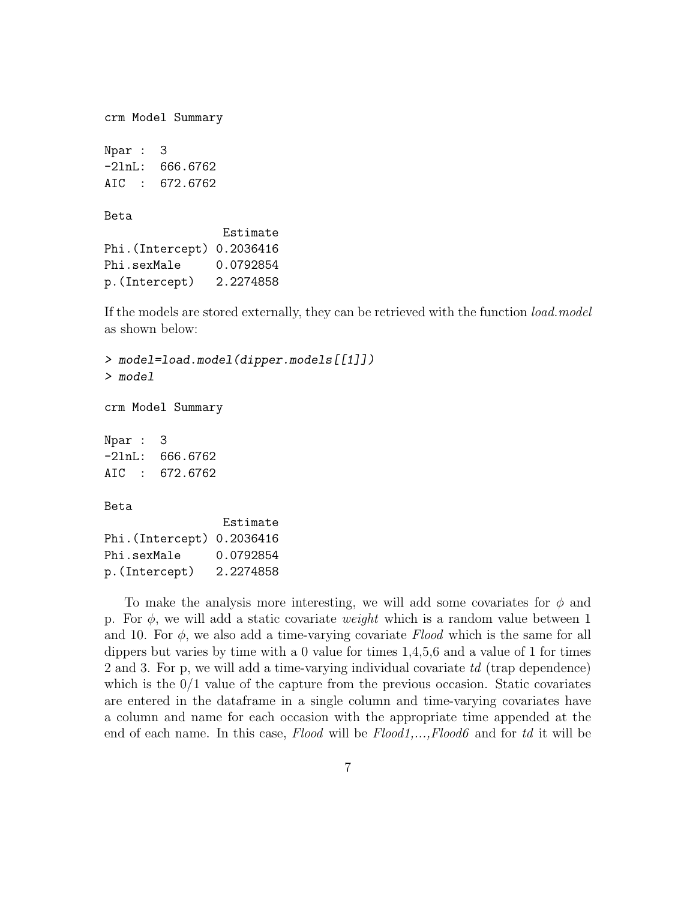```
crm Model Summary
Npar : 3
-2lnL: 666.6762
AIC : 672.6762
Beta
                Estimate
Phi.(Intercept) 0.2036416
Phi.sexMale 0.0792854
p.(Intercept) 2.2274858
```
If the models are stored externally, they can be retrieved with the function *load.model* as shown below:

> model=load.model(dipper.models[[1]]) > model crm Model Summary Npar : 3 -2lnL: 666.6762 AIC : 672.6762 Beta Estimate Phi.(Intercept) 0.2036416 Phi.sexMale 0.0792854 p.(Intercept) 2.2274858

To make the analysis more interesting, we will add some covariates for  $\phi$  and p. For  $\phi$ , we will add a static covariate *weight* which is a random value between 1 and 10. For  $\phi$ , we also add a time-varying covariate Flood which is the same for all dippers but varies by time with a 0 value for times 1,4,5,6 and a value of 1 for times 2 and 3. For p, we will add a time-varying individual covariate td (trap dependence) which is the  $0/1$  value of the capture from the previous occasion. Static covariates are entered in the dataframe in a single column and time-varying covariates have a column and name for each occasion with the appropriate time appended at the end of each name. In this case,  $Flood$  will be  $Flood1, \ldots, Flood6$  and for td it will be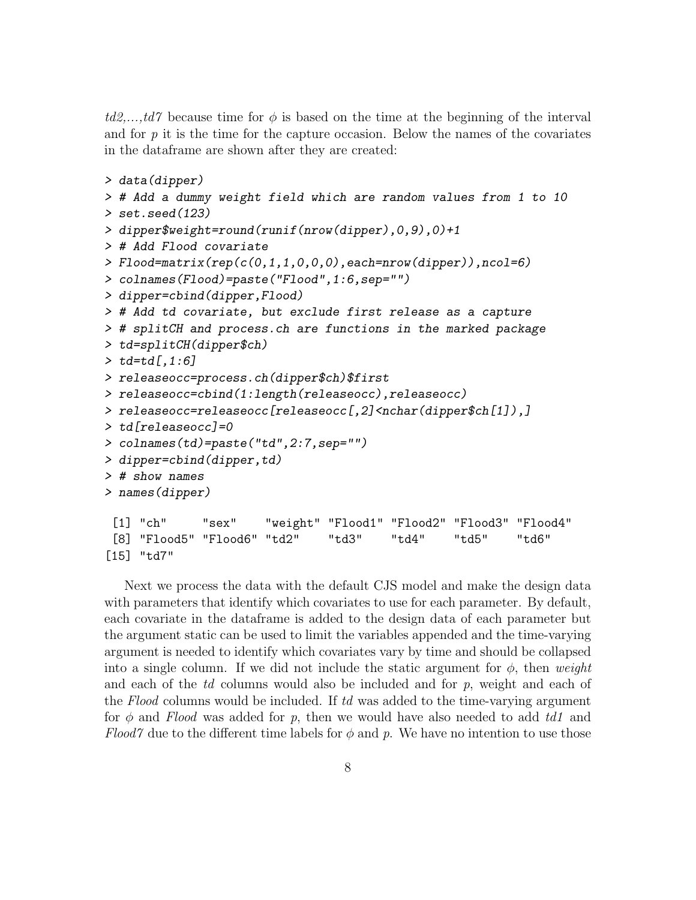$td2,...,td7$  because time for  $\phi$  is based on the time at the beginning of the interval and for  $p$  it is the time for the capture occasion. Below the names of the covariates in the dataframe are shown after they are created:

```
> data(dipper)
> # Add a dummy weight field which are random values from 1 to 10
> set.seed(123)
> dipper$weight=round(runif(nrow(dipper),0,9),0)+1
> # Add Flood covariate
> Flood=matrix(rep(c(0,1,1,0,0,0),each=nrow(dipper)),ncol=6)
> colnames(Flood)=paste("Flood",1:6,sep="")
> dipper=cbind(dipper,Flood)
> # Add td covariate, but exclude first release as a capture
> # splitCH and process.ch are functions in the marked package
> td=splitCH(dipper$ch)
> t d = td[, 1:6]> releaseocc=process.ch(dipper$ch)$first
> releaseocc=cbind(1:length(releaseocc),releaseocc)
> releaseocc=releaseocc[releaseocc[,2]<nchar(dipper$ch[1]),]
> td[releaseocc]=0
> colnames(td)=paste("td",2:7,sep="")
> dipper=cbind(dipper,td)
> # show names
> names(dipper)
[1] "ch" "sex" "weight" "Flood1" "Flood2" "Flood3" "Flood4"
 [8] "Flood5" "Flood6" "td2" "td3" "td4" "td5" "td6"
[15] "td7"
```
Next we process the data with the default CJS model and make the design data with parameters that identify which covariates to use for each parameter. By default, each covariate in the dataframe is added to the design data of each parameter but the argument static can be used to limit the variables appended and the time-varying argument is needed to identify which covariates vary by time and should be collapsed into a single column. If we did not include the static argument for  $\phi$ , then weight and each of the  $td$  columns would also be included and for  $p$ , weight and each of the Flood columns would be included. If td was added to the time-varying argument for  $\phi$  and Flood was added for p, then we would have also needed to add td1 and Flood7 due to the different time labels for  $\phi$  and p. We have no intention to use those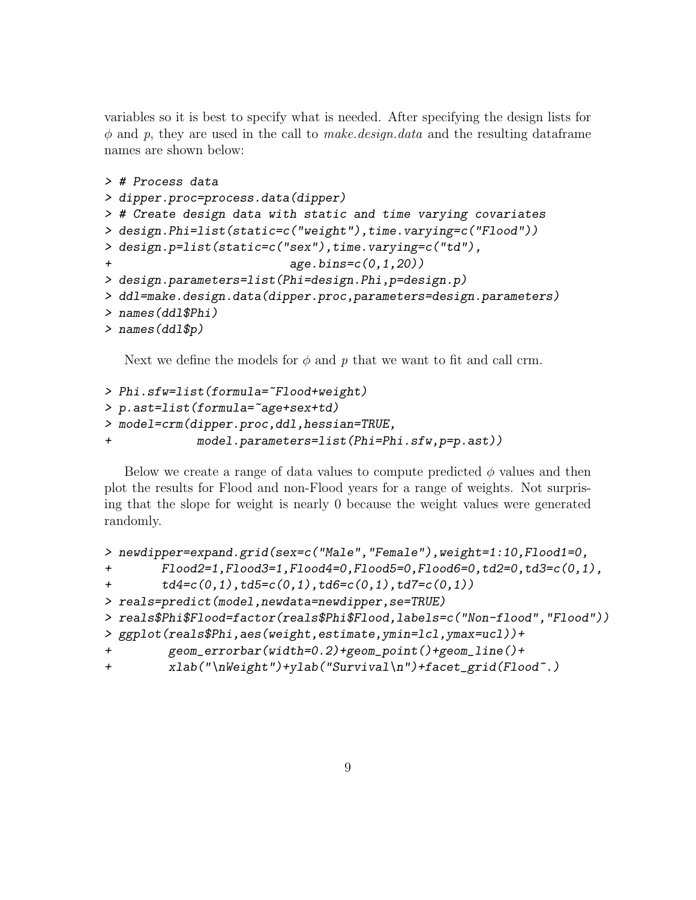variables so it is best to specify what is needed. After specifying the design lists for  $\phi$  and p, they are used in the call to *make.design.data* and the resulting dataframe names are shown below:

```
> # Process data
> dipper.proc=process.data(dipper)
> # Create design data with static and time varying covariates
> design.Phi=list(static=c("weight"),time.varying=c("Flood"))
> design.p=list(static=c("sex"),time.varying=c("td"),
                          age. bins = c(0,1,20)> design.parameters=list(Phi=design.Phi,p=design.p)
> ddl=make.design.data(dipper.proc,parameters=design.parameters)
> names(ddl$Phi)
> names(ddl$p)
```
Next we define the models for  $\phi$  and p that we want to fit and call crm.

```
> Phi.sfw=list(formula="Flood+weight)
> p.ast=list(formula=~age+sex+td)
> model=crm(dipper.proc,ddl,hessian=TRUE,
+ model.parameters=list(Phi=Phi.sfw,p=p.ast))
```
Below we create a range of data values to compute predicted  $\phi$  values and then plot the results for Flood and non-Flood years for a range of weights. Not surprising that the slope for weight is nearly 0 because the weight values were generated randomly.

```
> newdipper=expand.grid(sex=c("Male","Female"),weight=1:10,Flood1=0,
+ Flood2=1,Flood3=1,Flood4=0,Flood5=0,Flood6=0,td2=0,td3=c(0,1),
+ td4=c(0,1),td5=c(0,1),td6=c(0,1),td7=c(0,1))> reals=predict(model,newdata=newdipper,se=TRUE)
> reals$Phi$Flood=factor(reals$Phi$Flood,labels=c("Non-flood","Flood"))
> ggplot(reals$Phi,aes(weight,estimate,ymin=lcl,ymax=ucl))+
+ geom_errorbar(width=0.2)+geom_point()+geom_line()+
+ xlab("\nWeight")+ylab("Survival\n")+facet_grid(Flood~.)
```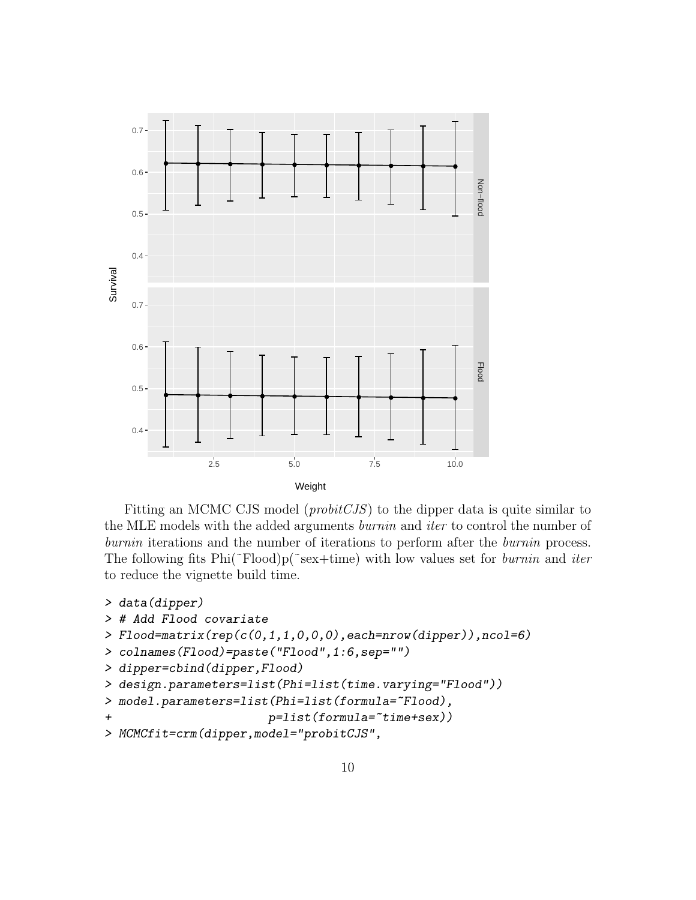

Fitting an MCMC CJS model (probitCJS) to the dipper data is quite similar to the MLE models with the added arguments burnin and iter to control the number of burnin iterations and the number of iterations to perform after the *burnin* process. The following fits  $Phi("Food)p("sex+time)$  with low values set for *burnin* and *iter* to reduce the vignette build time.

```
> data(dipper)
> # Add Flood covariate
> Flood=matrix(rep(c(0,1,1,0,0,0),each=nrow(dipper)),ncol=6)
> colnames(Flood)=paste("Flood",1:6,sep="")
> dipper=cbind(dipper,Flood)
> design.parameters=list(Phi=list(time.varying="Flood"))
> model.parameters=list(Phi=list(formula=~Flood),
+ p=list(formula=~time+sex))
> MCMCfit=crm(dipper,model="probitCJS",
```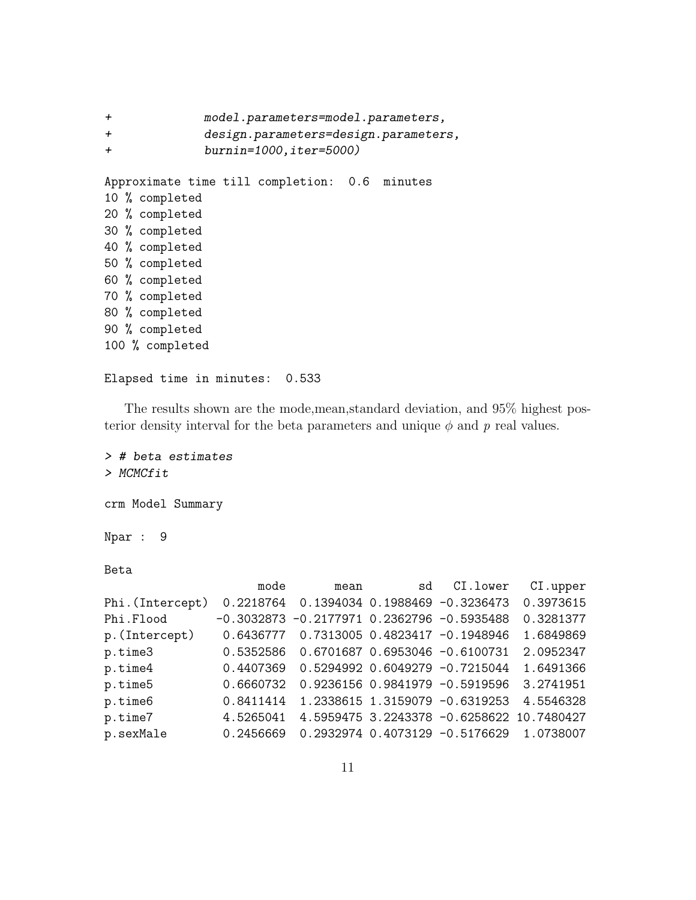```
+ model.parameters=model.parameters,
+ design.parameters=design.parameters,
+ burnin=1000,iter=5000)
Approximate time till completion: 0.6 minutes
10 % completed
20 % completed
30 % completed
40 % completed
50 % completed
60 % completed
70 % completed
80 % completed
90 % completed
100 % completed
Elapsed time in minutes: 0.533
```
The results shown are the mode,mean,standard deviation, and 95% highest posterior density interval for the beta parameters and unique  $\phi$  and p real values.

```
> # beta estimates
> MCMCfit
crm Model Summary
Npar : 9
Beta
```

|                  | mode      | mean                                         | sd | CI.lower                                  | CI.upper  |
|------------------|-----------|----------------------------------------------|----|-------------------------------------------|-----------|
| Phi. (Intercept) | 0.2218764 |                                              |    | 0.1394034 0.1988469 -0.3236473            | 0.3973615 |
| Phi.Flood        |           | $-0.3032873 -0.2177971 0.2362796 -0.5935488$ |    |                                           | 0.3281377 |
| p. (Intercept)   | 0.6436777 |                                              |    | 0.7313005 0.4823417 -0.1948946            | 1.6849869 |
| p.time3          |           | 0.5352586  0.6701687  0.6953046  -0.6100731  |    |                                           | 2.0952347 |
| p.time4          | 0.4407369 |                                              |    | 0.5294992 0.6049279 -0.7215044            | 1.6491366 |
| p.time5          | 0.6660732 |                                              |    | 0.9236156 0.9841979 -0.5919596            | 3.2741951 |
| p.time6          | 0.8411414 |                                              |    | 1.2338615 1.3159079 -0.6319253            | 4.5546328 |
| p.time7          | 4.5265041 |                                              |    | 4.5959475 3.2243378 -0.6258622 10.7480427 |           |
| p.sexMale        | 0.2456669 |                                              |    | $0.2932974$ 0.4073129 -0.5176629          | 1.0738007 |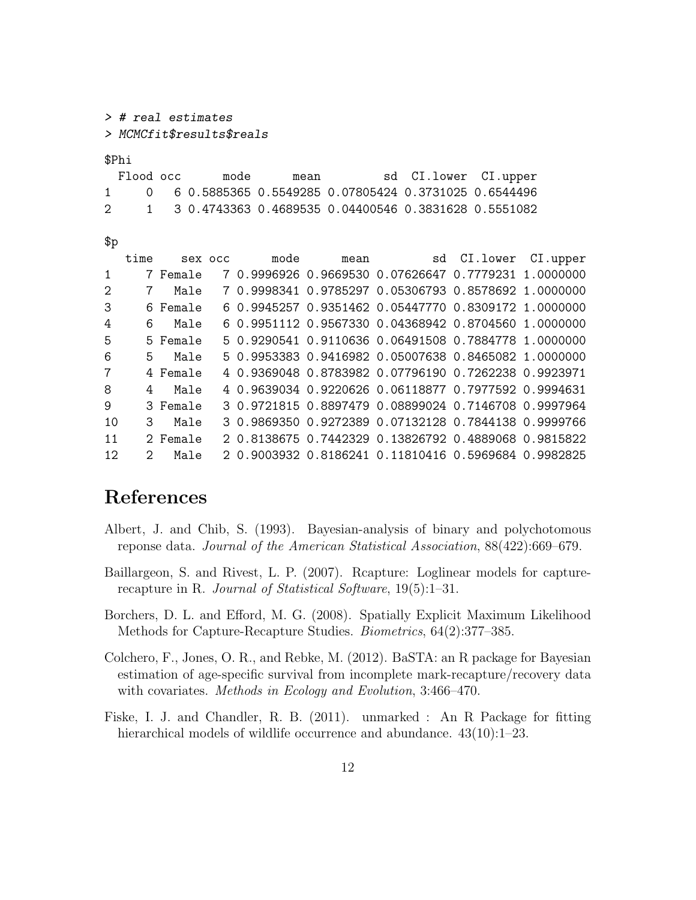> # real estimates > MCMCfit\$results\$reals

\$Phi

| Flood occ | mode | mean |                                                        | sd CI.lower CI.upper |  |
|-----------|------|------|--------------------------------------------------------|----------------------|--|
|           |      |      | 0 6 0.5885365 0.5549285 0.07805424 0.3731025 0.6544496 |                      |  |
| 2         |      |      | 1 3 0.4743363 0.4689535 0.04400546 0.3831628 0.5551082 |                      |  |

| I<br>×<br>۰,<br>٦<br>I<br>۰.<br>٠ |
|-----------------------------------|
|-----------------------------------|

|              | time          |          | sex occ | mode | mean sd CI.lower CI.upper                            |  |
|--------------|---------------|----------|---------|------|------------------------------------------------------|--|
| $\mathbf{1}$ |               | 7 Female |         |      | 7 0.9996926 0.9669530 0.07626647 0.7779231 1.0000000 |  |
| 2            | 7             | Male     |         |      | 7 0.9998341 0.9785297 0.05306793 0.8578692 1.0000000 |  |
| 3            |               | 6 Female |         |      | 6 0.9945257 0.9351462 0.05447770 0.8309172 1.0000000 |  |
| 4            | 6             | Male     |         |      | 6 0.9951112 0.9567330 0.04368942 0.8704560 1.0000000 |  |
| 5            |               | 5 Female |         |      | 5 0.9290541 0.9110636 0.06491508 0.7884778 1.0000000 |  |
| 6.           | 5.            | Male     |         |      | 5 0.9953383 0.9416982 0.05007638 0.8465082 1.0000000 |  |
| 7            |               | 4 Female |         |      | 4 0.9369048 0.8783982 0.07796190 0.7262238 0.9923971 |  |
| 8            | 4             | Male     |         |      | 4 0.9639034 0.9220626 0.06118877 0.7977592 0.9994631 |  |
| 9            |               | 3 Female |         |      | 3 0.9721815 0.8897479 0.08899024 0.7146708 0.9997964 |  |
| 10           | 3             | Male     |         |      | 3 0.9869350 0.9272389 0.07132128 0.7844138 0.9999766 |  |
| 11           |               | 2 Female |         |      | 2 0.8138675 0.7442329 0.13826792 0.4889068 0.9815822 |  |
| 12.          | $\mathcal{D}$ | Male     |         |      | 2 0.9003932 0.8186241 0.11810416 0.5969684 0.9982825 |  |

## References

- Albert, J. and Chib, S. (1993). Bayesian-analysis of binary and polychotomous reponse data. Journal of the American Statistical Association, 88(422):669–679.
- Baillargeon, S. and Rivest, L. P. (2007). Rcapture: Loglinear models for capturerecapture in R. Journal of Statistical Software, 19(5):1–31.
- Borchers, D. L. and Efford, M. G. (2008). Spatially Explicit Maximum Likelihood Methods for Capture-Recapture Studies. Biometrics, 64(2):377–385.
- Colchero, F., Jones, O. R., and Rebke, M. (2012). BaSTA: an R package for Bayesian estimation of age-specific survival from incomplete mark-recapture/recovery data with covariates. *Methods in Ecology and Evolution*, 3:466-470.
- Fiske, I. J. and Chandler, R. B. (2011). unmarked : An R Package for fitting hierarchical models of wildlife occurrence and abundance.  $43(10):1-23$ .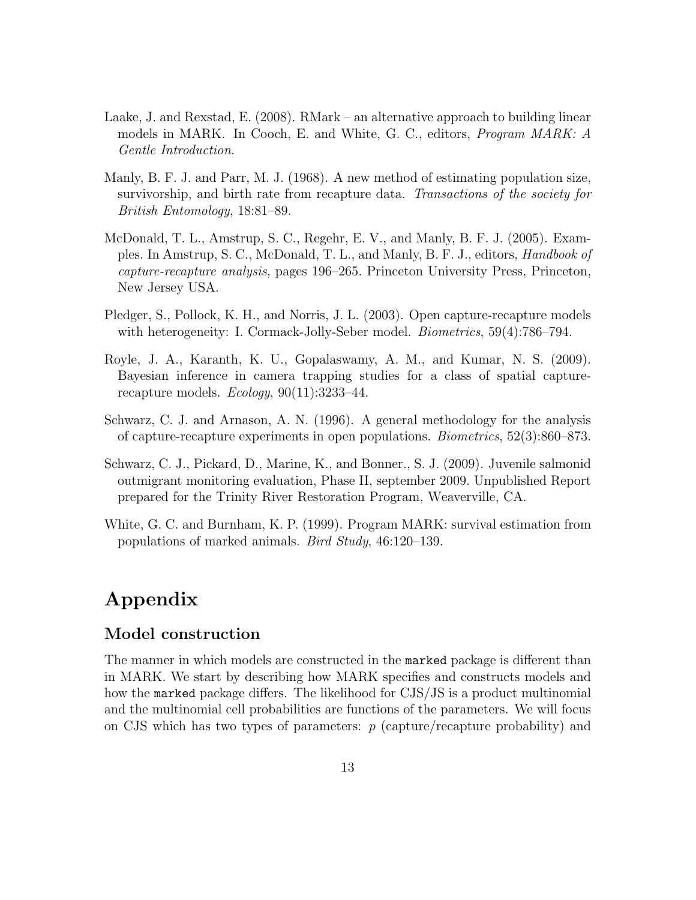- Laake, J. and Rexstad, E. (2008). RMark an alternative approach to building linear models in MARK. In Cooch, E. and White, G. C., editors, Program MARK: A Gentle Introduction.
- Manly, B. F. J. and Parr, M. J. (1968). A new method of estimating population size, survivorship, and birth rate from recapture data. Transactions of the society for British Entomology, 18:81–89.
- McDonald, T. L., Amstrup, S. C., Regehr, E. V., and Manly, B. F. J. (2005). Examples. In Amstrup, S. C., McDonald, T. L., and Manly, B. F. J., editors, Handbook of capture-recapture analysis, pages 196–265. Princeton University Press, Princeton, New Jersey USA.
- Pledger, S., Pollock, K. H., and Norris, J. L. (2003). Open capture-recapture models with heterogeneity: I. Cormack-Jolly-Seber model. *Biometrics*, 59(4):786–794.
- Royle, J. A., Karanth, K. U., Gopalaswamy, A. M., and Kumar, N. S. (2009). Bayesian inference in camera trapping studies for a class of spatial capturerecapture models. Ecology, 90(11):3233–44.
- Schwarz, C. J. and Arnason, A. N. (1996). A general methodology for the analysis of capture-recapture experiments in open populations. Biometrics, 52(3):860–873.
- Schwarz, C. J., Pickard, D., Marine, K., and Bonner., S. J. (2009). Juvenile salmonid outmigrant monitoring evaluation, Phase II, september 2009. Unpublished Report prepared for the Trinity River Restoration Program, Weaverville, CA.
- White, G. C. and Burnham, K. P. (1999). Program MARK: survival estimation from populations of marked animals. Bird Study, 46:120–139.

## Appendix

#### Model construction

The manner in which models are constructed in the marked package is different than in MARK. We start by describing how MARK specifies and constructs models and how the marked package differs. The likelihood for CJS/JS is a product multinomial and the multinomial cell probabilities are functions of the parameters. We will focus on CJS which has two types of parameters:  $p$  (capture/recapture probability) and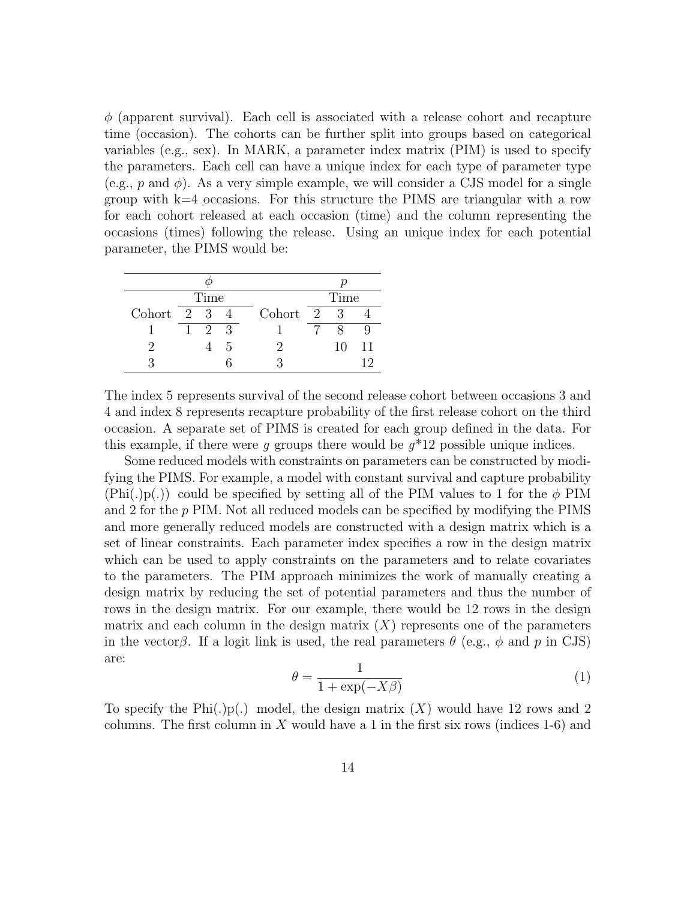$\phi$  (apparent survival). Each cell is associated with a release cohort and recapture time (occasion). The cohorts can be further split into groups based on categorical variables (e.g., sex). In MARK, a parameter index matrix (PIM) is used to specify the parameters. Each cell can have a unique index for each type of parameter type (e.g., p and  $\phi$ ). As a very simple example, we will consider a CJS model for a single group with k=4 occasions. For this structure the PIMS are triangular with a row for each cohort released at each occasion (time) and the column representing the occasions (times) following the release. Using an unique index for each potential parameter, the PIMS would be:

| Time                       |   |  |     |          | Time |    |    |
|----------------------------|---|--|-----|----------|------|----|----|
| Cohort $2 \quad 3 \quad 4$ |   |  |     | Cohort 2 |      | -3 |    |
|                            | 1 |  | 2 3 |          |      |    |    |
|                            |   |  | h.  |          |      | 10 | 11 |
|                            |   |  |     |          |      |    |    |

The index 5 represents survival of the second release cohort between occasions 3 and 4 and index 8 represents recapture probability of the first release cohort on the third occasion. A separate set of PIMS is created for each group defined in the data. For this example, if there were g groups there would be  $g^*12$  possible unique indices.

Some reduced models with constraints on parameters can be constructed by modifying the PIMS. For example, a model with constant survival and capture probability  $(Phi.)$ ) could be specified by setting all of the PIM values to 1 for the  $\phi$  PIM and 2 for the p PIM. Not all reduced models can be specified by modifying the PIMS and more generally reduced models are constructed with a design matrix which is a set of linear constraints. Each parameter index specifies a row in the design matrix which can be used to apply constraints on the parameters and to relate covariates to the parameters. The PIM approach minimizes the work of manually creating a design matrix by reducing the set of potential parameters and thus the number of rows in the design matrix. For our example, there would be 12 rows in the design matrix and each column in the design matrix  $(X)$  represents one of the parameters in the vector $\beta$ . If a logit link is used, the real parameters  $\theta$  (e.g.,  $\phi$  and p in CJS) are:

$$
\theta = \frac{1}{1 + \exp(-X\beta)}\tag{1}
$$

To specify the Phi(.)p(.) model, the design matrix  $(X)$  would have 12 rows and 2 columns. The first column in X would have a 1 in the first six rows (indices  $1-6$ ) and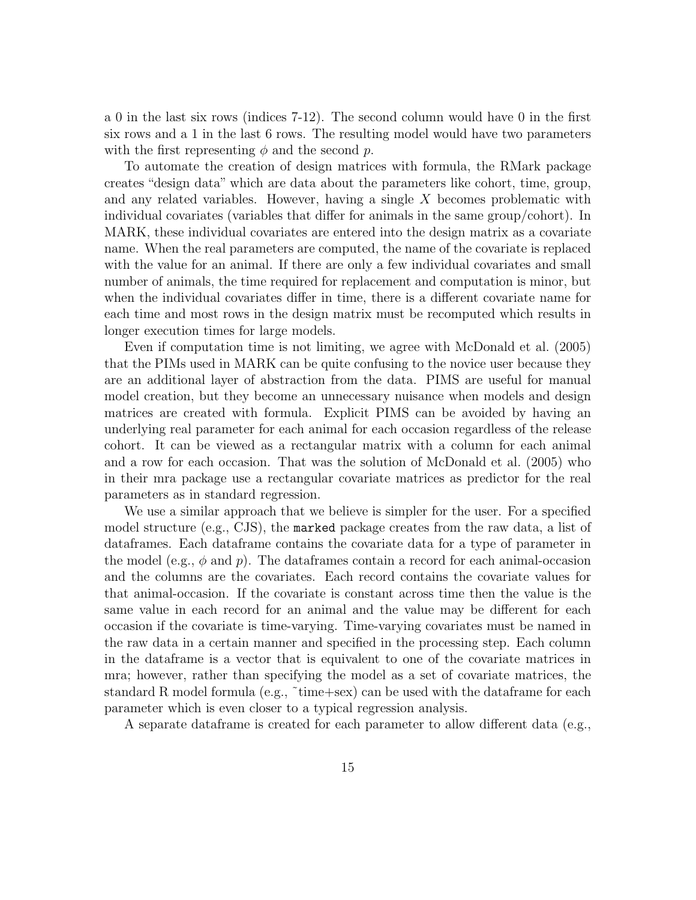a 0 in the last six rows (indices 7-12). The second column would have 0 in the first six rows and a 1 in the last 6 rows. The resulting model would have two parameters with the first representing  $\phi$  and the second p.

To automate the creation of design matrices with formula, the RMark package creates "design data" which are data about the parameters like cohort, time, group, and any related variables. However, having a single X becomes problematic with individual covariates (variables that differ for animals in the same group/cohort). In MARK, these individual covariates are entered into the design matrix as a covariate name. When the real parameters are computed, the name of the covariate is replaced with the value for an animal. If there are only a few individual covariates and small number of animals, the time required for replacement and computation is minor, but when the individual covariates differ in time, there is a different covariate name for each time and most rows in the design matrix must be recomputed which results in longer execution times for large models.

Even if computation time is not limiting, we agree with McDonald et al. (2005) that the PIMs used in MARK can be quite confusing to the novice user because they are an additional layer of abstraction from the data. PIMS are useful for manual model creation, but they become an unnecessary nuisance when models and design matrices are created with formula. Explicit PIMS can be avoided by having an underlying real parameter for each animal for each occasion regardless of the release cohort. It can be viewed as a rectangular matrix with a column for each animal and a row for each occasion. That was the solution of McDonald et al. (2005) who in their mra package use a rectangular covariate matrices as predictor for the real parameters as in standard regression.

We use a similar approach that we believe is simpler for the user. For a specified model structure (e.g., CJS), the marked package creates from the raw data, a list of dataframes. Each dataframe contains the covariate data for a type of parameter in the model (e.g.,  $\phi$  and  $p$ ). The dataframes contain a record for each animal-occasion and the columns are the covariates. Each record contains the covariate values for that animal-occasion. If the covariate is constant across time then the value is the same value in each record for an animal and the value may be different for each occasion if the covariate is time-varying. Time-varying covariates must be named in the raw data in a certain manner and specified in the processing step. Each column in the dataframe is a vector that is equivalent to one of the covariate matrices in mra; however, rather than specifying the model as a set of covariate matrices, the standard R model formula (e.g.,  $\tilde{\tau}$ time+sex) can be used with the dataframe for each parameter which is even closer to a typical regression analysis.

A separate dataframe is created for each parameter to allow different data (e.g.,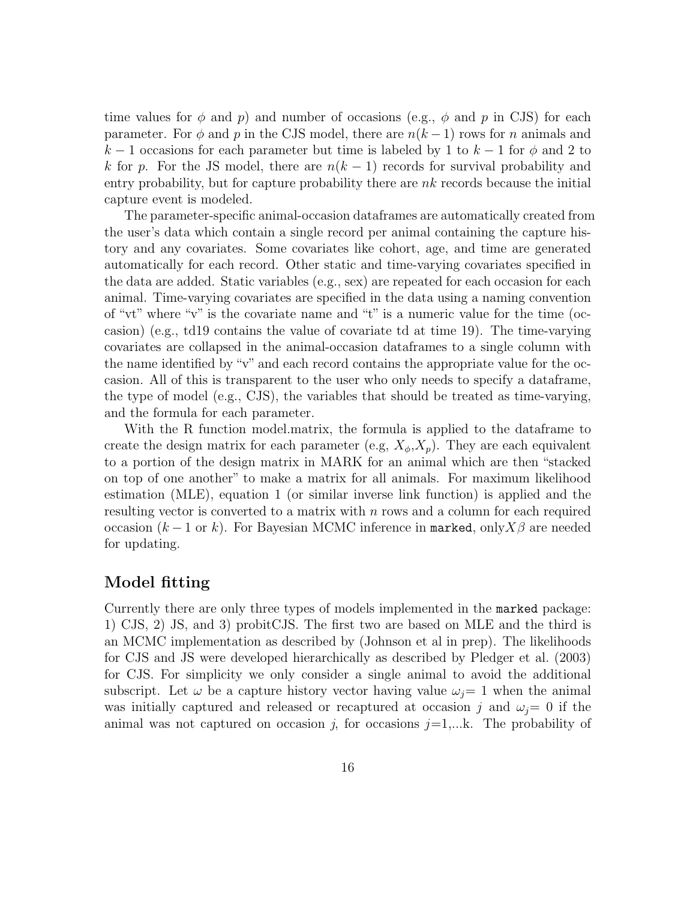time values for  $\phi$  and p) and number of occasions (e.g.,  $\phi$  and p in CJS) for each parameter. For  $\phi$  and p in the CJS model, there are  $n(k-1)$  rows for n animals and k − 1 occasions for each parameter but time is labeled by 1 to  $k-1$  for  $\phi$  and 2 to k for p. For the JS model, there are  $n(k-1)$  records for survival probability and entry probability, but for capture probability there are  $nk$  records because the initial capture event is modeled.

The parameter-specific animal-occasion dataframes are automatically created from the user's data which contain a single record per animal containing the capture history and any covariates. Some covariates like cohort, age, and time are generated automatically for each record. Other static and time-varying covariates specified in the data are added. Static variables (e.g., sex) are repeated for each occasion for each animal. Time-varying covariates are specified in the data using a naming convention of "vt" where "v" is the covariate name and "t" is a numeric value for the time (occasion) (e.g., td19 contains the value of covariate td at time 19). The time-varying covariates are collapsed in the animal-occasion dataframes to a single column with the name identified by "v" and each record contains the appropriate value for the occasion. All of this is transparent to the user who only needs to specify a dataframe, the type of model (e.g., CJS), the variables that should be treated as time-varying, and the formula for each parameter.

With the R function model.matrix, the formula is applied to the dataframe to create the design matrix for each parameter (e.g,  $X_{\phi}$ ,  $X_{n}$ ). They are each equivalent to a portion of the design matrix in MARK for an animal which are then "stacked on top of one another" to make a matrix for all animals. For maximum likelihood estimation (MLE), equation 1 (or similar inverse link function) is applied and the resulting vector is converted to a matrix with n rows and a column for each required occasion  $(k-1 \text{ or } k)$ . For Bayesian MCMC inference in marked, only  $X\beta$  are needed for updating.

#### Model fitting

Currently there are only three types of models implemented in the marked package: 1) CJS, 2) JS, and 3) probitCJS. The first two are based on MLE and the third is an MCMC implementation as described by (Johnson et al in prep). The likelihoods for CJS and JS were developed hierarchically as described by Pledger et al. (2003) for CJS. For simplicity we only consider a single animal to avoid the additional subscript. Let  $\omega$  be a capture history vector having value  $\omega_i=1$  when the animal was initially captured and released or recaptured at occasion j and  $\omega_i=0$  if the animal was not captured on occasion j, for occasions  $j=1,...k$ . The probability of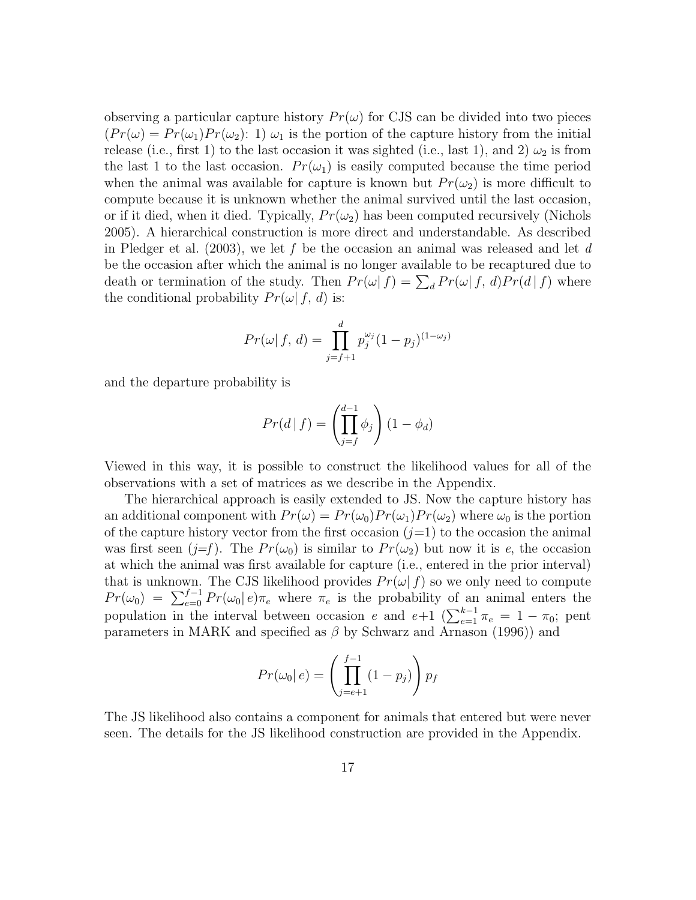observing a particular capture history  $Pr(\omega)$  for CJS can be divided into two pieces  $(Pr(\omega) = Pr(\omega_1)Pr(\omega_2): 1) \omega_1$  is the portion of the capture history from the initial release (i.e., first 1) to the last occasion it was sighted (i.e., last 1), and 2)  $\omega_2$  is from the last 1 to the last occasion.  $Pr(\omega_1)$  is easily computed because the time period when the animal was available for capture is known but  $Pr(\omega_2)$  is more difficult to compute because it is unknown whether the animal survived until the last occasion, or if it died, when it died. Typically,  $Pr(\omega_2)$  has been computed recursively (Nichols 2005). A hierarchical construction is more direct and understandable. As described in Pledger et al.  $(2003)$ , we let f be the occasion an animal was released and let d be the occasion after which the animal is no longer available to be recaptured due to death or termination of the study. Then  $Pr(\omega | f) = \sum_{d} Pr(\omega | f, d) Pr(d | f)$  where the conditional probability  $Pr(\omega | f, d)$  is:

$$
Pr(\omega | f, d) = \prod_{j=f+1}^{d} p_j^{\omega_j} (1 - p_j)^{(1 - \omega_j)}
$$

and the departure probability is

$$
Pr(d | f) = \left(\prod_{j=f}^{d-1} \phi_j\right) (1 - \phi_d)
$$

Viewed in this way, it is possible to construct the likelihood values for all of the observations with a set of matrices as we describe in the Appendix.

The hierarchical approach is easily extended to JS. Now the capture history has an additional component with  $Pr(\omega) = Pr(\omega_0)Pr(\omega_1)Pr(\omega_2)$  where  $\omega_0$  is the portion of the capture history vector from the first occasion  $(j=1)$  to the occasion the animal was first seen  $(j=f)$ . The  $Pr(\omega_0)$  is similar to  $Pr(\omega_2)$  but now it is e, the occasion at which the animal was first available for capture (i.e., entered in the prior interval) that is unknown. The CJS likelihood provides  $Pr(\omega | f)$  so we only need to compute  $Pr(\omega_0) = \sum_{e=0}^{f-1} Pr(\omega_0 | e) \pi_e$  where  $\pi_e$  is the probability of an animal enters the population in the interval between occasion e and  $e+1$  ( $\sum_{e=1}^{k-1} \pi_e = 1 - \pi_0$ ; pent parameters in MARK and specified as  $\beta$  by Schwarz and Arnason (1996)) and

$$
Pr(\omega_0|e) = \left(\prod_{j=e+1}^{f-1} (1-p_j)\right) p_f
$$

The JS likelihood also contains a component for animals that entered but were never seen. The details for the JS likelihood construction are provided in the Appendix.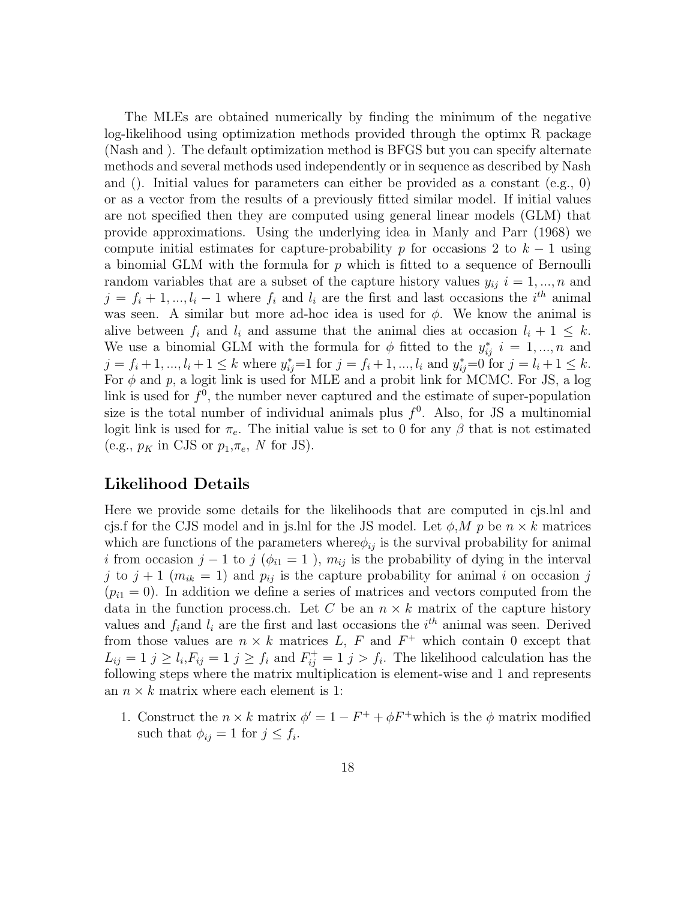The MLEs are obtained numerically by finding the minimum of the negative log-likelihood using optimization methods provided through the optimx R package (Nash and ). The default optimization method is BFGS but you can specify alternate methods and several methods used independently or in sequence as described by Nash and (). Initial values for parameters can either be provided as a constant  $(e.g., 0)$ or as a vector from the results of a previously fitted similar model. If initial values are not specified then they are computed using general linear models (GLM) that provide approximations. Using the underlying idea in Manly and Parr (1968) we compute initial estimates for capture-probability p for occasions 2 to  $k-1$  using a binomial GLM with the formula for p which is fitted to a sequence of Bernoulli random variables that are a subset of the capture history values  $y_{ij}$   $i = 1, ..., n$  and  $j = f_i + 1, ..., l_i - 1$  where  $f_i$  and  $l_i$  are the first and last occasions the  $i^{th}$  animal was seen. A similar but more ad-hoc idea is used for  $\phi$ . We know the animal is alive between  $f_i$  and  $l_i$  and assume that the animal dies at occasion  $l_i + 1 \leq k$ . We use a binomial GLM with the formula for  $\phi$  fitted to the  $y_{ij}^*$  i = 1, ..., n and  $j = f_i + 1, ..., l_i + 1 \leq k$  where  $y_{ij}^* = 1$  for  $j = f_i + 1, ..., l_i$  and  $y_{ij}^* = 0$  for  $j = l_i + 1 \leq k$ . For  $\phi$  and  $p$ , a logit link is used for MLE and a probit link for MCMC. For JS, a log link is used for  $f^0$ , the number never captured and the estimate of super-population size is the total number of individual animals plus  $f^0$ . Also, for JS a multinomial logit link is used for  $\pi_e$ . The initial value is set to 0 for any  $\beta$  that is not estimated (e.g.,  $p_K$  in CJS or  $p_1, \pi_e$ , N for JS).

#### Likelihood Details

Here we provide some details for the likelihoods that are computed in cjs.lnl and cjs.f for the CJS model and in js.lnl for the JS model. Let  $\phi, M, p$  be  $n \times k$  matrices which are functions of the parameters where  $\phi_{ij}$  is the survival probability for animal i from occasion j – 1 to j ( $\phi_{i1} = 1$ ),  $m_{ij}$  is the probability of dying in the interval j to  $j + 1$  ( $m_{ik} = 1$ ) and  $p_{ij}$  is the capture probability for animal i on occasion j  $(p_{i1} = 0)$ . In addition we define a series of matrices and vectors computed from the data in the function process.ch. Let C be an  $n \times k$  matrix of the capture history values and  $f_i$  and  $l_i$  are the first and last occasions the  $i<sup>th</sup>$  animal was seen. Derived from those values are  $n \times k$  matrices L, F and  $F^+$  which contain 0 except that  $L_{ij} = 1$   $j \geq l_i$ ,  $F_{ij} = 1$   $j \geq f_i$  and  $F_{ij}^+ = 1$   $j > f_i$ . The likelihood calculation has the following steps where the matrix multiplication is element-wise and 1 and represents an  $n \times k$  matrix where each element is 1:

1. Construct the  $n \times k$  matrix  $\phi' = 1 - F^+ + \phi F^+$  which is the  $\phi$  matrix modified such that  $\phi_{ij} = 1$  for  $j \leq f_i$ .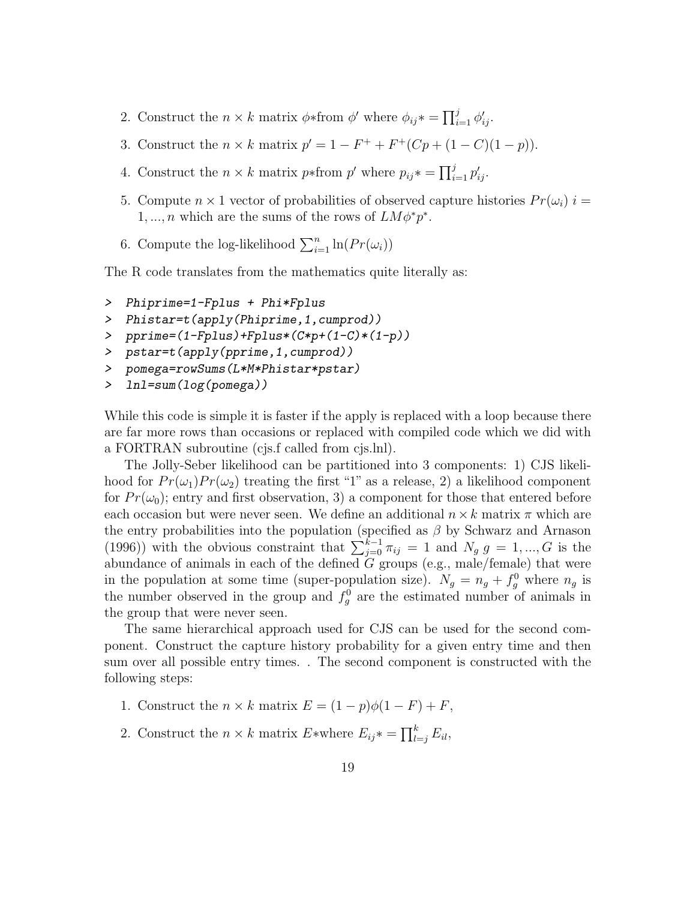- 2. Construct the  $n \times k$  matrix  $\phi *$  from  $\phi'$  where  $\phi_{ij} * = \prod_{i=1}^{j} \phi'_{ij}$ .
- 3. Construct the  $n \times k$  matrix  $p' = 1 F^+ + F^+(Cp + (1 C)(1 p)).$
- 4. Construct the  $n \times k$  matrix  $p*$  from  $p'$  where  $p_{ij}* = \prod_{i=1}^{j} p'_{ij}$ .
- 5. Compute  $n \times 1$  vector of probabilities of observed capture histories  $Pr(\omega_i)$  i = 1, ..., *n* which are the sums of the rows of  $LM\phi^*p^*$ .
- 6. Compute the log-likelihood  $\sum_{i=1}^{n} \ln(Pr(\omega_i))$

The R code translates from the mathematics quite literally as:

- > Phiprime=1-Fplus + Phi\*Fplus
- > Phistar=t(apply(Phiprime,1,cumprod))
- > pprime=(1-Fplus)+Fplus\*(C\*p+(1-C)\*(1-p))
- > pstar=t(apply(pprime,1,cumprod))
- > pomega=rowSums(L\*M\*Phistar\*pstar)
- > lnl=sum(log(pomega))

While this code is simple it is faster if the apply is replaced with a loop because there are far more rows than occasions or replaced with compiled code which we did with a FORTRAN subroutine (cjs.f called from cjs.lnl).

The Jolly-Seber likelihood can be partitioned into 3 components: 1) CJS likelihood for  $Pr(\omega_1)Pr(\omega_2)$  treating the first "1" as a release, 2) a likelihood component for  $Pr(\omega_0)$ ; entry and first observation, 3) a component for those that entered before each occasion but were never seen. We define an additional  $n \times k$  matrix  $\pi$  which are the entry probabilities into the population (specified as  $\beta$  by Schwarz and Arnason (1996)) with the obvious constraint that  $\sum_{j=0}^{k-1} \pi_{ij} = 1$  and  $N_g g = 1, ..., G$  is the abundance of animals in each of the defined  $G$  groups (e.g., male/female) that were in the population at some time (super-population size).  $N_g = n_g + f_g^0$  where  $n_g$  is the number observed in the group and  $f_g^0$  are the estimated number of animals in the group that were never seen.

The same hierarchical approach used for CJS can be used for the second component. Construct the capture history probability for a given entry time and then sum over all possible entry times. . The second component is constructed with the following steps:

- 1. Construct the  $n \times k$  matrix  $E = (1 p)\phi(1 F) + F$ ,
- 2. Construct the  $n \times k$  matrix  $E^*$  where  $E_{ij}^* = \prod_{l=j}^k E_{il}$ ,